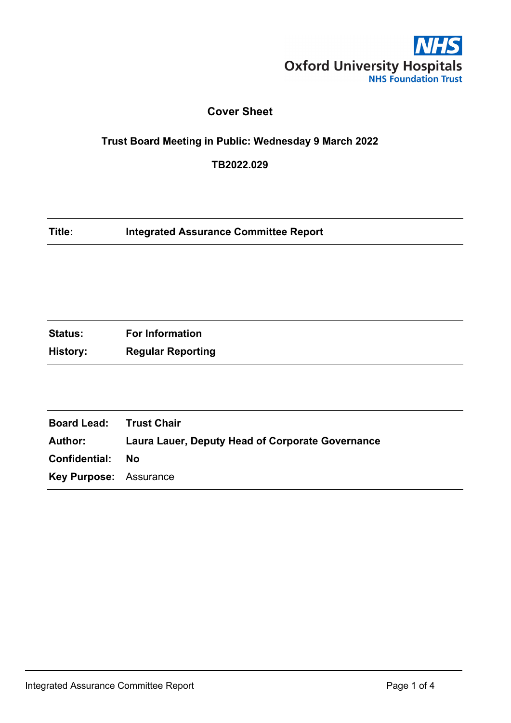

## **Cover Sheet**

# **Trust Board Meeting in Public: Wednesday 9 March 2022**

**TB2022.029**

**Title: Integrated Assurance Committee Report**

| <b>Status:</b> | <b>For Information</b>   |
|----------------|--------------------------|
| History:       | <b>Regular Reporting</b> |

| <b>Board Lead: Trust Chair</b> |                                                         |
|--------------------------------|---------------------------------------------------------|
| Author:                        | <b>Laura Lauer, Deputy Head of Corporate Governance</b> |
| <b>Confidential: No</b>        |                                                         |
| <b>Key Purpose: Assurance</b>  |                                                         |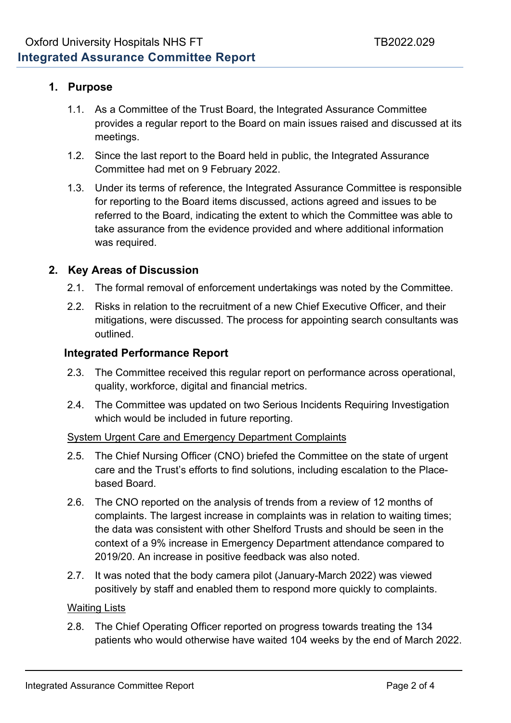## **1. Purpose**

- 1.1. As a Committee of the Trust Board, the Integrated Assurance Committee provides a regular report to the Board on main issues raised and discussed at its meetings.
- 1.2. Since the last report to the Board held in public, the Integrated Assurance Committee had met on 9 February 2022.
- 1.3. Under its terms of reference, the Integrated Assurance Committee is responsible for reporting to the Board items discussed, actions agreed and issues to be referred to the Board, indicating the extent to which the Committee was able to take assurance from the evidence provided and where additional information was required.

## **2. Key Areas of Discussion**

- 2.1. The formal removal of enforcement undertakings was noted by the Committee.
- 2.2. Risks in relation to the recruitment of a new Chief Executive Officer, and their mitigations, were discussed. The process for appointing search consultants was outlined.

## **Integrated Performance Report**

- 2.3. The Committee received this regular report on performance across operational, quality, workforce, digital and financial metrics.
- 2.4. The Committee was updated on two Serious Incidents Requiring Investigation which would be included in future reporting.

#### System Urgent Care and Emergency Department Complaints

- 2.5. The Chief Nursing Officer (CNO) briefed the Committee on the state of urgent care and the Trust's efforts to find solutions, including escalation to the Placebased Board.
- 2.6. The CNO reported on the analysis of trends from a review of 12 months of complaints. The largest increase in complaints was in relation to waiting times; the data was consistent with other Shelford Trusts and should be seen in the context of a 9% increase in Emergency Department attendance compared to 2019/20. An increase in positive feedback was also noted.
- 2.7. It was noted that the body camera pilot (January-March 2022) was viewed positively by staff and enabled them to respond more quickly to complaints.

#### Waiting Lists

2.8. The Chief Operating Officer reported on progress towards treating the 134 patients who would otherwise have waited 104 weeks by the end of March 2022.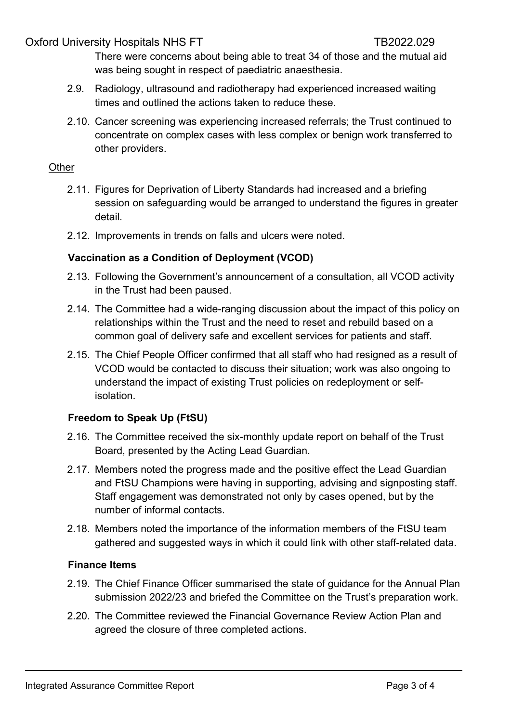Oxford University Hospitals NHS FT THE THE THE TB2022.029

There were concerns about being able to treat 34 of those and the mutual aid was being sought in respect of paediatric anaesthesia.

- 2.9. Radiology, ultrasound and radiotherapy had experienced increased waiting times and outlined the actions taken to reduce these.
- 2.10. Cancer screening was experiencing increased referrals; the Trust continued to concentrate on complex cases with less complex or benign work transferred to other providers.

#### **Other**

- 2.11. Figures for Deprivation of Liberty Standards had increased and a briefing session on safeguarding would be arranged to understand the figures in greater detail.
- 2.12. Improvements in trends on falls and ulcers were noted.

## **Vaccination as a Condition of Deployment (VCOD)**

- 2.13. Following the Government's announcement of a consultation, all VCOD activity in the Trust had been paused.
- 2.14. The Committee had a wide-ranging discussion about the impact of this policy on relationships within the Trust and the need to reset and rebuild based on a common goal of delivery safe and excellent services for patients and staff.
- 2.15. The Chief People Officer confirmed that all staff who had resigned as a result of VCOD would be contacted to discuss their situation; work was also ongoing to understand the impact of existing Trust policies on redeployment or selfisolation.

## **Freedom to Speak Up (FtSU)**

- 2.16. The Committee received the six-monthly update report on behalf of the Trust Board, presented by the Acting Lead Guardian.
- 2.17. Members noted the progress made and the positive effect the Lead Guardian and FtSU Champions were having in supporting, advising and signposting staff. Staff engagement was demonstrated not only by cases opened, but by the number of informal contacts.
- 2.18. Members noted the importance of the information members of the FtSU team gathered and suggested ways in which it could link with other staff-related data.

## **Finance Items**

- 2.19. The Chief Finance Officer summarised the state of guidance for the Annual Plan submission 2022/23 and briefed the Committee on the Trust's preparation work.
- 2.20. The Committee reviewed the Financial Governance Review Action Plan and agreed the closure of three completed actions.